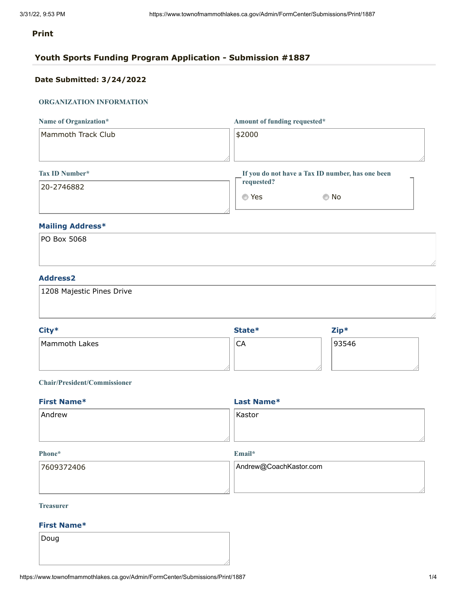# **Print**

# **Youth Sports Funding Program Application - Submission #1887**

# **Date Submitted: 3/24/2022**

# **ORGANIZATION INFORMATION**

| Name of Organization* | Amount of funding requested*                     |  |
|-----------------------|--------------------------------------------------|--|
| Mammoth Track Club    | \$2000                                           |  |
|                       |                                                  |  |
| Tax ID Number*        | If you do not have a Tax ID number, has one been |  |

# 20-2746882

| requested? | If you do not have a Tax ID number, has one been |
|------------|--------------------------------------------------|
| ⊚ Yes      | © No                                             |

# **Mailing Address\***

| PO Box 5068 |  |  |  |
|-------------|--|--|--|
|             |  |  |  |
|             |  |  |  |

# **Address2**

| 1208 Majestic Pines Drive |  |  |
|---------------------------|--|--|
|                           |  |  |

| City*         | State* | $Zip*$ |
|---------------|--------|--------|
| Mammoth Lakes | CA     | 93546  |
|               |        |        |

# **Chair/President/Commissioner**

| <b>First Name*</b> | Last Name* |
|--------------------|------------|
| Andrew             | Kastor     |
|                    |            |
|                    |            |

#### **Phone\***

**Email\***

| 7609372406 | Andrew@CoachKastor.com |
|------------|------------------------|
|            |                        |

# **Treasurer**

# **First Name\***

Doug

//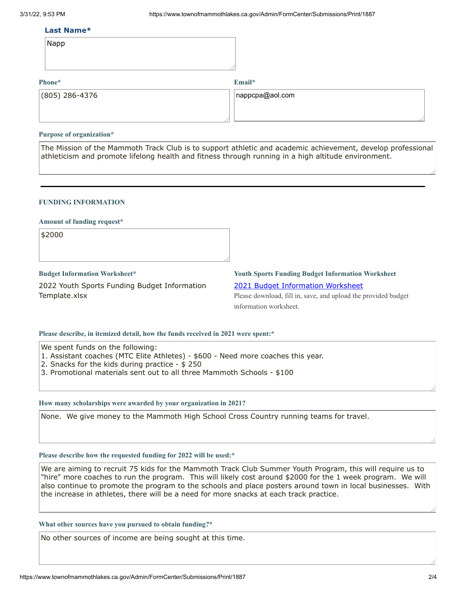### **Last Name\***

| Napp |  |
|------|--|
|------|--|

# **Phone\***

**Email\***

| (805) 286-4376 | $ $ nappcpa@aol.com |
|----------------|---------------------|
|                |                     |

### **Purpose of organization\***

The Mission of the Mammoth Track Club is to support athletic and academic achievement, develop professional athleticism and promote lifelong health and fitness through running in a high altitude environment.

# **FUNDING INFORMATION**

### **Amount of funding request\***

\$2000

**Budget Information Worksheet\***

2022 Youth Sports Funding Budget Information Template.xlsx

# **Youth Sports Funding Budget Information Worksheet** 2021 Budget [Information](https://www.townofmammothlakes.ca.gov/DocumentCenter/View/11932/2021-Youth-Sports-Funding-Budget-Information-Template) Worksheet

Please download, fill in, save, and upload the provided budget information worksheet.

# **Please describe, in itemized detail, how the funds received in 2021 were spent:\***

We spent funds on the following:

- 1. Assistant coaches (MTC Elite Athletes) \$600 Need more coaches this year.
- 2. Snacks for the kids during practice \$ 250
- 3. Promotional materials sent out to all three Mammoth Schools \$100

# **How many scholarships were awarded by your organization in 2021?**

None. We give money to the Mammoth High School Cross Country running teams for travel.

# **Please describe how the requested funding for 2022 will be used:\***

We are aiming to recruit 75 kids for the Mammoth Track Club Summer Youth Program, this will require us to "hire" more coaches to run the program. This will likely cost around \$2000 for the 1 week program. We will also continue to promote the program to the schools and place posters around town in local businesses. With the increase in athletes, there will be a need for more snacks at each track practice.

### **What other sources have you pursued to obtain funding?\***

No other sources of income are being sought at this time.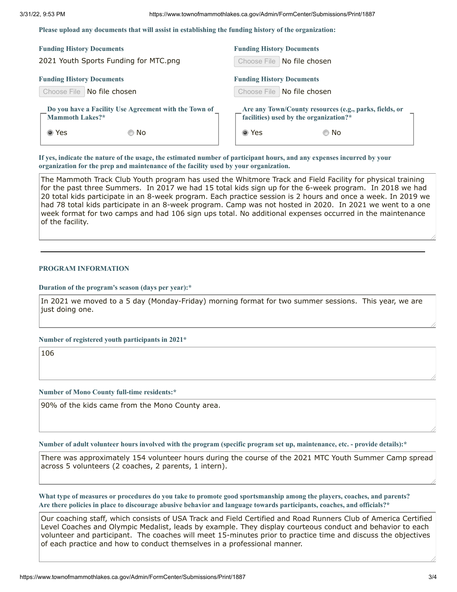**Please upload any documents that will assist in establishing the funding history of the organization:**

| <b>Funding History Documents</b>                      | <b>Funding History Documents</b>                       |
|-------------------------------------------------------|--------------------------------------------------------|
| 2021 Youth Sports Funding for MTC.png                 | Choose File   No file chosen                           |
| <b>Funding History Documents</b>                      | <b>Funding History Documents</b>                       |
| Choose File   No file chosen                          | Choose File   No file chosen                           |
| Do you have a Facility Use Agreement with the Town of | Are any Town/County resources (e.g., parks, fields, or |
| Mammoth Lakes?*                                       | facilities) used by the organization?*                 |
| ◉ Yes                                                 | ◉ Yes                                                  |
| © No                                                  | © No                                                   |

If yes, indicate the nature of the usage, the estimated number of participant hours, and any expenses incurred by your **organization for the prep and maintenance of the facility used by your organization.**

The Mammoth Track Club Youth program has used the Whitmore Track and Field Facility for physical training for the past three Summers. In 2017 we had 15 total kids sign up for the 6-week program. In 2018 we had 20 total kids participate in an 8-week program. Each practice session is 2 hours and once a week. In 2019 we had 78 total kids participate in an 8-week program. Camp was not hosted in 2020. In 2021 we went to a one week format for two camps and had 106 sign ups total. No additional expenses occurred in the maintenance of the facility.

#### **PROGRAM INFORMATION**

**Duration of the program's season (days per year):\***

In 2021 we moved to a 5 day (Monday-Friday) morning format for two summer sessions. This year, we are just doing one.

**Number of registered youth participants in 2021\***

106

#### **Number of Mono County full-time residents:\***

90% of the kids came from the Mono County area.

Number of adult volunteer hours involved with the program (specific program set up, maintenance, etc. - provide details):\*

There was approximately 154 volunteer hours during the course of the 2021 MTC Youth Summer Camp spread across 5 volunteers (2 coaches, 2 parents, 1 intern).

What type of measures or procedures do you take to promote good sportsmanship among the players, coaches, and parents? Are there policies in place to discourage abusive behavior and language towards participants, coaches, and officials?\*

Our coaching staff, which consists of USA Track and Field Certified and Road Runners Club of America Certified Level Coaches and Olympic Medalist, leads by example. They display courteous conduct and behavior to each volunteer and participant. The coaches will meet 15-minutes prior to practice time and discuss the objectives of each practice and how to conduct themselves in a professional manner.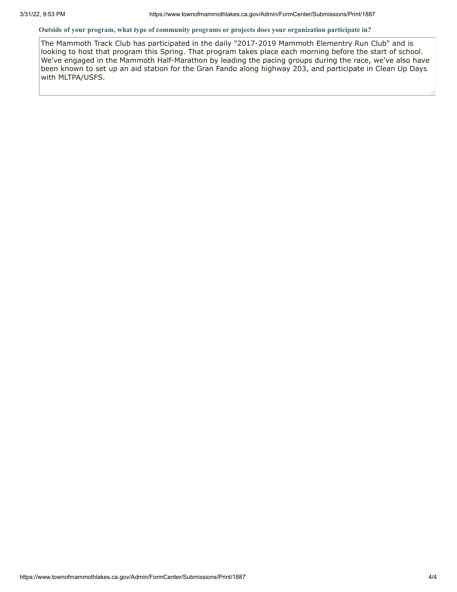### **Outside of your program, what type of community programs or projects does your organization participate in?**

The Mammoth Track Club has participated in the daily "2017-2019 Mammoth Elementry Run Club" and is looking to host that program this Spring. That program takes place each morning before the start of school. We've engaged in the Mammoth Half-Marathon by leading the pacing groups during the race, we've also have been known to set up an aid station for the Gran Fando along highway 203, and participate in Clean Up Days with MLTPA/USFS.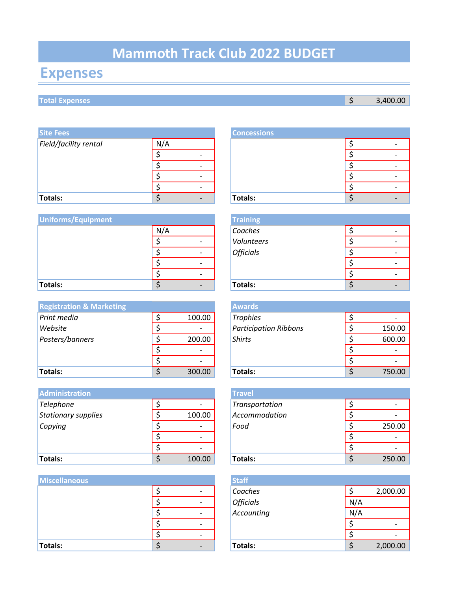# **Mammoth Track Club 2022 BUDGET**

# **Expenses**

# **Total Expenses** \$ 3,400.00

| <b>Site Fees</b>      |     |                          | <b>Concessions</b> |  |   |
|-----------------------|-----|--------------------------|--------------------|--|---|
| Field/facility rental | N/A |                          |                    |  | ٠ |
|                       |     | $\overline{\phantom{0}}$ |                    |  | ٠ |
|                       |     |                          |                    |  | ٠ |
|                       |     |                          |                    |  | ٠ |
|                       |     |                          |                    |  | ٠ |
| Totals:               |     |                          | Totals:            |  | ٠ |

| Uniforms/Equipment |     |                          | <b>Training</b>  |   |
|--------------------|-----|--------------------------|------------------|---|
|                    | N/A |                          | Coaches          |   |
|                    |     |                          | Volunteers       | ٠ |
|                    |     | $\overline{\phantom{a}}$ | <b>Officials</b> | ٠ |
|                    |     |                          |                  |   |
|                    |     |                          |                  | ٠ |
| Totals:            |     |                          | Totals:          | ٠ |

| <b>Registration &amp; Marketing</b> |                          | <b>Awards</b>                |        |
|-------------------------------------|--------------------------|------------------------------|--------|
| Print media                         | 100.00                   | <b>Trophies</b>              |        |
| Website                             | $\overline{\phantom{0}}$ | <b>Participation Ribbons</b> | 150.00 |
| Posters/banners                     | 200.00                   | <b>Shirts</b>                | 600.00 |
|                                     | $\overline{\phantom{0}}$ |                              |        |
|                                     |                          |                              |        |
| Totals:                             | 300.00                   | <b>Totals:</b>               | 750.00 |

| <b>Administration</b> |                          | <b>Travel</b>  |        |
|-----------------------|--------------------------|----------------|--------|
| Telephone             |                          | Transportation |        |
| Stationary supplies   | 100.00                   | Accommodation  |        |
| Copying               |                          | Food           | 250.00 |
|                       | $\overline{\phantom{0}}$ |                |        |
|                       | -                        |                |        |
| <b>Totals:</b>        | 100.00                   | <b>Totals:</b> | 250.00 |

| <b>Miscellaneous</b> |                          | <b>Staff</b>     |     |          |
|----------------------|--------------------------|------------------|-----|----------|
|                      | $\overline{\phantom{0}}$ | Coaches          |     | 2,000.00 |
|                      | $\overline{\phantom{a}}$ | <b>Officials</b> | N/A |          |
|                      | $\overline{\phantom{a}}$ | Accounting       | N/A |          |
|                      | $\overline{\phantom{a}}$ |                  |     |          |
|                      | $\overline{\phantom{0}}$ |                  |     |          |
| Totals:              |                          | Totals:          |     | 2,000.00 |

|     |  | <b>Concessions</b> |  |  |
|-----|--|--------------------|--|--|
| N/A |  |                    |  |  |
| ሖ   |  |                    |  |  |
| ົ   |  |                    |  |  |
| ົ   |  |                    |  |  |
|     |  |                    |  |  |
|     |  | Totals:            |  |  |

| <b>Training</b>  |  |
|------------------|--|
| Coaches          |  |
| Volunteers       |  |
| <b>Officials</b> |  |
|                  |  |
|                  |  |
| Totals:          |  |
|                  |  |

|              | <b>Awards</b>                |        |
|--------------|------------------------------|--------|
| \$<br>100.00 | <b>Trophies</b>              |        |
| \$           | <b>Participation Ribbons</b> | 150.00 |
| \$<br>200.00 | <b>Shirts</b>                | 600.00 |
| \$           |                              |        |
| \$           |                              |        |
| \$<br>300.00 | Totals:                      | 750.00 |

|    |        | <b>Travel</b>  |        |
|----|--------|----------------|--------|
| \$ |        | Transportation |        |
| \$ | 100.00 | Accommodation  |        |
| \$ |        | Food           | 250.00 |
| \$ |        |                |        |
| \$ |        |                |        |
| Ś  | 100.00 | Totals:        | 250.00 |

|    | <b>Staff</b>     |     |          |
|----|------------------|-----|----------|
| \$ | Coaches          |     | 2,000.00 |
| \$ | <b>Officials</b> | N/A |          |
| \$ | Accounting       | N/A |          |
| \$ |                  |     |          |
| \$ |                  |     |          |
| \$ | <b>Totals:</b>   |     | 2,000.00 |